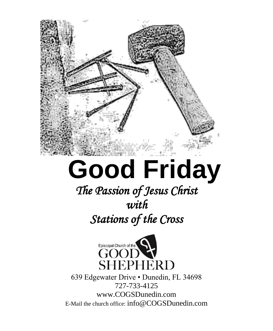

# **Good Friday**

## *The Passion of Jesus Christ with*

*Stations of the Cross* 



639 Edgewater Drive • Dunedin, FL 34698 727-733-4125 www.COGSDunedin.com E-Mail the church office: info@COGSDunedin.com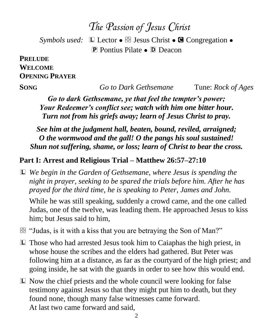### *The Passion of Jesus Christ*

*Symbols used:*  $\Box$  Lector •  $\Box$  Jesus Christ •  $\Box$  Congregation • P Pontius Pilate ● D Deacon

#### **PRELUDE WELCOME OPENING PRAYER**

**SONG** *Go to Dark Gethsemane* Tune: *Rock of Ages*

*Go to dark Gethsemane, ye that feel the tempter's power; Your Redeemer's conflict see; watch with him one bitter hour. Turn not from his griefs away; learn of Jesus Christ to pray.*

*See him at the judgment hall, beaten, bound, reviled, arraigned; O the wormwood and the gall! O the pangs his soul sustained! Shun not suffering, shame, or loss; learn of Christ to bear the cross.*

#### **Part I: Arrest and Religious Trial – Matthew 26:57–27:10**

L *We begin in the Garden of Gethsemane, where Jesus is spending the night in prayer, seeking to be spared the trials before him. After he has prayed for the third time, he is speaking to Peter, James and John.*

While he was still speaking, suddenly a crowd came, and the one called Judas, one of the twelve, was leading them. He approached Jesus to kiss him; but Jesus said to him,

- $\mathbb{F}$  "Judas, is it with a kiss that you are betraying the Son of Man?"
- L Those who had arrested Jesus took him to Caiaphas the high priest, in whose house the scribes and the elders had gathered. But Peter was following him at a distance, as far as the courtyard of the high priest; and going inside, he sat with the guards in order to see how this would end.
- L Now the chief priests and the whole council were looking for false testimony against Jesus so that they might put him to death, but they found none, though many false witnesses came forward. At last two came forward and said,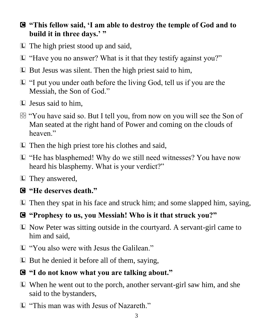#### C **"This fellow said, 'I am able to destroy the temple of God and to build it in three days.' "**

- L The high priest stood up and said,
- L "Have you no answer? What is it that they testify against you?"
- L But Jesus was silent. Then the high priest said to him,
- L "I put you under oath before the living God, tell us if you are the Messiah, the Son of God."
- L Jesus said to him,
- **E** "You have said so. But I tell you, from now on you will see the Son of Man seated at the right hand of Power and coming on the clouds of heaven."
- L Then the high priest tore his clothes and said,
- L "He has blasphemed! Why do we still need witnesses? You have now heard his blasphemy. What is your verdict?"
- L They answered,

#### C **"He deserves death."**

L Then they spat in his face and struck him; and some slapped him, saying,

#### C **"Prophesy to us, you Messiah! Who is it that struck you?"**

- L Now Peter was sitting outside in the courtyard. A servant-girl came to him and said,
- L "You also were with Jesus the Galilean."
- L But he denied it before all of them, saying,

#### C **"I do not know what you are talking about."**

- L When he went out to the porch, another servant-girl saw him, and she said to the bystanders,
- L "This man was with Jesus of Nazareth."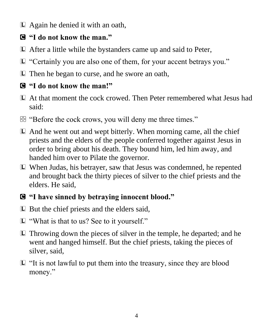L Again he denied it with an oath,

#### C **"I do not know the man."**

- L After a little while the bystanders came up and said to Peter,
- L "Certainly you are also one of them, for your accent betrays you."
- L Then he began to curse, and he swore an oath,

#### C **"I do not know the man!"**

- L At that moment the cock crowed. Then Peter remembered what Jesus had said:
- **E** "Before the cock crows, you will deny me three times."
- L And he went out and wept bitterly. When morning came, all the chief priests and the elders of the people conferred together against Jesus in order to bring about his death. They bound him, led him away, and handed him over to Pilate the governor.
- L When Judas, his betrayer, saw that Jesus was condemned, he repented and brought back the thirty pieces of silver to the chief priests and the elders. He said,

#### C **"I have sinned by betraying innocent blood."**

- L But the chief priests and the elders said,
- L "What is that to us? See to it yourself."
- L Throwing down the pieces of silver in the temple, he departed; and he went and hanged himself. But the chief priests, taking the pieces of silver, said,
- $\mathbb{L}$  "It is not lawful to put them into the treasury, since they are blood money."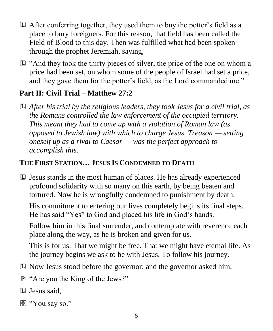- L After conferring together, they used them to buy the potter's field as a place to bury foreigners. For this reason, that field has been called the Field of Blood to this day. Then was fulfilled what had been spoken through the prophet Jeremiah, saying,
- L "And they took the thirty pieces of silver, the price of the one on whom a price had been set, on whom some of the people of Israel had set a price, and they gave them for the potter's field, as the Lord commanded me."

#### **Part II: Civil Trial – Matthew 27:2**

L *After his trial by the religious leaders, they took Jesus for a civil trial, as the Romans controlled the law enforcement of the occupied territory. This meant they had to come up with a violation of Roman law (as opposed to Jewish law) with which to charge Jesus. Treason — setting oneself up as a rival to Caesar — was the perfect approach to accomplish this.*

#### **THE FIRST STATION… JESUS IS CONDEMNED TO DEATH**

L Jesus stands in the most human of places. He has already experienced profound solidarity with so many on this earth, by being beaten and tortured. Now he is wrongfully condemned to punishment by death.

His commitment to entering our lives completely begins its final steps. He has said "Yes" to God and placed his life in God's hands.

Follow him in this final surrender, and contemplate with reverence each place along the way, as he is broken and given for us.

This is for us. That we might be free. That we might have eternal life. As the journey begins we ask to be with Jesus. To follow his journey.

- L Now Jesus stood before the governor; and the governor asked him,
- P "Are you the King of the Jews?"
- L Jesus said,
- T "You say so."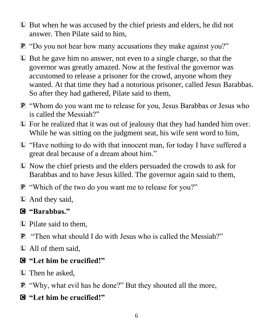- L But when he was accused by the chief priests and elders, he did not answer. Then Pilate said to him,
- P "Do you not hear how many accusations they make against you?"
- L But he gave him no answer, not even to a single charge, so that the governor was greatly amazed. Now at the festival the governor was accustomed to release a prisoner for the crowd, anyone whom they wanted. At that time they had a notorious prisoner, called Jesus Barabbas. So after they had gathered, Pilate said to them,
- P "Whom do you want me to release for you, Jesus Barabbas or Jesus who is called the Messiah?"
- L For he realized that it was out of jealousy that they had handed him over. While he was sitting on the judgment seat, his wife sent word to him,
- L "Have nothing to do with that innocent man, for today I have suffered a great deal because of a dream about him."
- L Now the chief priests and the elders persuaded the crowds to ask for Barabbas and to have Jesus killed. The governor again said to them,
- P "Which of the two do you want me to release for you?"
- L And they said,

#### C **"Barabbas."**

- L Pilate said to them,
- $\overline{P}$  "Then what should I do with Jesus who is called the Messiah?"
- L All of them said,

#### C **"Let him be crucified!"**

- L Then he asked,
- P "Why, what evil has he done?" But they shouted all the more,

#### C **"Let him be crucified!"**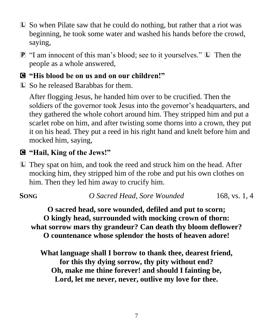- L So when Pilate saw that he could do nothing, but rather that a riot was beginning, he took some water and washed his hands before the crowd, saying,
- $\mathbb{P}$  "I am innocent of this man's blood; see to it yourselves."  $\mathbb{L}$  Then the people as a whole answered,

#### C **"His blood be on us and on our children!"**

L So he released Barabbas for them.

After flogging Jesus, he handed him over to be crucified. Then the soldiers of the governor took Jesus into the governor's headquarters, and they gathered the whole cohort around him. They stripped him and put a scarlet robe on him, and after twisting some thorns into a crown, they put it on his head. They put a reed in his right hand and knelt before him and mocked him, saying,

#### C **"Hail, King of the Jews!"**

L They spat on him, and took the reed and struck him on the head. After mocking him, they stripped him of the robe and put his own clothes on him. Then they led him away to crucify him.

#### **SONG** *O Sacred Head, Sore Wounded* 168, vs. 1, 4

**O sacred head, sore wounded, defiled and put to scorn; O kingly head, surrounded with mocking crown of thorn: what sorrow mars thy grandeur? Can death thy bloom deflower? O countenance whose splendor the hosts of heaven adore!**

**What language shall I borrow to thank thee, dearest friend, for this thy dying sorrow, thy pity without end? Oh, make me thine forever! and should I fainting be, Lord, let me never, never, outlive my love for thee.**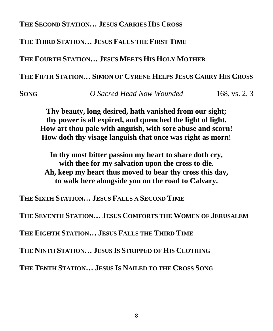**THE SECOND STATION… JESUS CARRIES HIS CROSS**

**THE THIRD STATION… JESUS FALLS THE FIRST TIME**

**THE FOURTH STATION… JESUS MEETS HIS HOLY MOTHER**

**THE FIFTH STATION… SIMON OF CYRENE HELPS JESUS CARRY HIS CROSS**

**SONG** *O Sacred Head Now Wounded* 168, vs. 2, 3

**Thy beauty, long desired, hath vanished from our sight; thy power is all expired, and quenched the light of light. How art thou pale with anguish, with sore abuse and scorn! How doth thy visage languish that once was right as morn!**

**In thy most bitter passion my heart to share doth cry, with thee for my salvation upon the cross to die. Ah, keep my heart thus moved to bear thy cross this day, to walk here alongside you on the road to Calvary.**

**THE SIXTH STATION… JESUS FALLS A SECOND TIME**

**THE SEVENTH STATION… JESUS COMFORTS THE WOMEN OF JERUSALEM** 

**THE EIGHTH STATION… JESUS FALLS THE THIRD TIME**

**THE NINTH STATION… JESUS IS STRIPPED OF HIS CLOTHING** 

**THE TENTH STATION… JESUS IS NAILED TO THE CROSS SONG**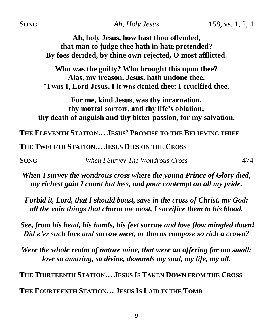**Ah, holy Jesus, how hast thou offended, that man to judge thee hath in hate pretended? By foes derided, by thine own rejected, O most afflicted.**

**Who was the guilty? Who brought this upon thee? Alas, my treason, Jesus, hath undone thee. 'Twas I, Lord Jesus, I it was denied thee: I crucified thee.**

**For me, kind Jesus, was thy incarnation, thy mortal sorrow, and thy life's oblation; thy death of anguish and thy bitter passion, for my salvation.**

**THE ELEVENTH STATION… JESUS' PROMISE TO THE BELIEVING THIEF** 

**THE TWELFTH STATION… JESUS DIES ON THE CROSS**

**SONG** *When I Survey The Wondrous Cross* 474

*When I survey the wondrous cross where the young Prince of Glory died, my richest gain I count but loss, and pour contempt on all my pride.*

*Forbid it, Lord, that I should boast, save in the cross of Christ, my God: all the vain things that charm me most, I sacrifice them to his blood.*

*See, from his head, his hands, his feet sorrow and love flow mingled down! Did e'er such love and sorrow meet, or thorns compose so rich a crown?*

*Were the whole realm of nature mine, that were an offering far too small; love so amazing, so divine, demands my soul, my life, my all.*

**THE THIRTEENTH STATION… JESUS IS TAKEN DOWN FROM THE CROSS**

**THE FOURTEENTH STATION… JESUS IS LAID IN THE TOMB**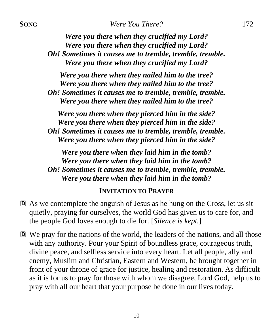#### **SONG** *Were You There?* 172

*Were you there when they crucified my Lord? Were you there when they crucified my Lord? Oh! Sometimes it causes me to tremble, tremble, tremble. Were you there when they crucified my Lord?*

*Were you there when they nailed him to the tree? Were you there when they nailed him to the tree? Oh! Sometimes it causes me to tremble, tremble, tremble. Were you there when they nailed him to the tree?*

*Were you there when they pierced him in the side? Were you there when they pierced him in the side? Oh! Sometimes it causes me to tremble, tremble, tremble. Were you there when they pierced him in the side?*

*Were you there when they laid him in the tomb? Were you there when they laid him in the tomb? Oh! Sometimes it causes me to tremble, tremble, tremble. Were you there when they laid him in the tomb?*

#### **INVITATION TO PRAYER**

- D As we contemplate the anguish of Jesus as he hung on the Cross, let us sit quietly, praying for ourselves, the world God has given us to care for, and the people God loves enough to die for. [*Silence is kept.*]
- D We pray for the nations of the world, the leaders of the nations, and all those with any authority. Pour your Spirit of boundless grace, courageous truth, divine peace, and selfless service into every heart. Let all people, ally and enemy, Muslim and Christian, Eastern and Western, be brought together in front of your throne of grace for justice, healing and restoration. As difficult as it is for us to pray for those with whom we disagree, Lord God, help us to pray with all our heart that your purpose be done in our lives today.

10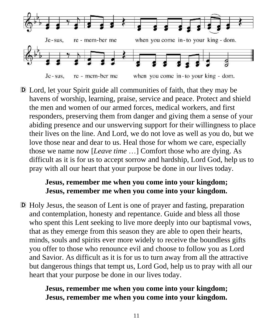

D Lord, let your Spirit guide all communities of faith, that they may be havens of worship, learning, praise, service and peace. Protect and shield the men and women of our armed forces, medical workers, and first responders, preserving them from danger and giving them a sense of your abiding presence and our unswerving support for their willingness to place their lives on the line. And Lord, we do not love as well as you do, but we love those near and dear to us. Heal those for whom we care, especially those we name now [*Leave time* …] Comfort those who are dying. As difficult as it is for us to accept sorrow and hardship, Lord God, help us to pray with all our heart that your purpose be done in our lives today.

#### **Jesus, remember me when you come into your kingdom; Jesus, remember me when you come into your kingdom.**

D Holy Jesus, the season of Lent is one of prayer and fasting, preparation and contemplation, honesty and repentance. Guide and bless all those who spent this Lent seeking to live more deeply into our baptismal vows, that as they emerge from this season they are able to open their hearts, minds, souls and spirits ever more widely to receive the boundless gifts you offer to those who renounce evil and choose to follow you as Lord and Savior. As difficult as it is for us to turn away from all the attractive but dangerous things that tempt us, Lord God, help us to pray with all our heart that your purpose be done in our lives today.

#### **Jesus, remember me when you come into your kingdom; Jesus, remember me when you come into your kingdom.**